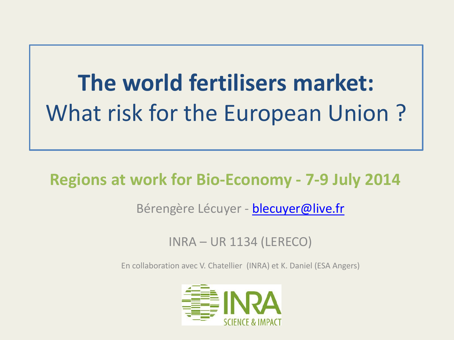## **The world fertilisers market:**  What risk for the European Union ?

### **Regions at work for Bio-Economy - 7-9 July 2014**

#### Bérengère Lécuyer - [blecuyer@live.fr](mailto:blecuyer@live.fr)

INRA – UR 1134 (LERECO)

En collaboration avec V. Chatellier (INRA) et K. Daniel (ESA Angers)

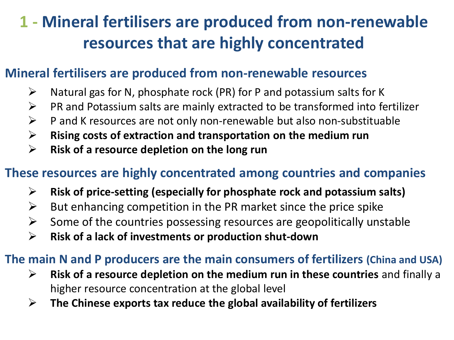### **1 - Mineral fertilisers are produced from non-renewable resources that are highly concentrated**

#### **Mineral fertilisers are produced from non-renewable resources**

- $\triangleright$  Natural gas for N, phosphate rock (PR) for P and potassium salts for K
- $\triangleright$  PR and Potassium salts are mainly extracted to be transformed into fertilizer
- $\triangleright$  P and K resources are not only non-renewable but also non-substituable
- **Rising costs of extraction and transportation on the medium run**
- **Risk of a resource depletion on the long run**

#### **These resources are highly concentrated among countries and companies**

- **Risk of price-setting (especially for phosphate rock and potassium salts)**
- $\triangleright$  But enhancing competition in the PR market since the price spike
- $\triangleright$  Some of the countries possessing resources are geopolitically unstable
- **Risk of a lack of investments or production shut-down**

#### **The main N and P producers are the main consumers of fertilizers (China and USA)**

- **Risk of a resource depletion on the medium run in these countries** and finally a higher resource concentration at the global level
- **The Chinese exports tax reduce the global availability of fertilizers**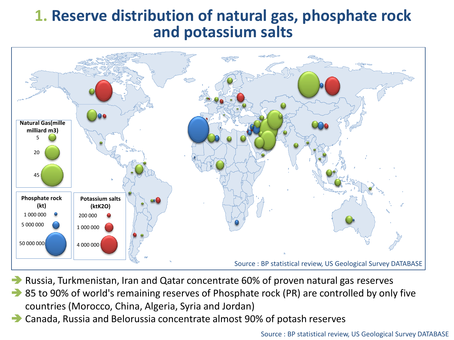#### **1. Reserve distribution of natural gas, phosphate rock and potassium salts**



- Russia, Turkmenistan, Iran and Qatar concentrate 60% of proven natural gas reserves
- 85 to 90% of world's remaining reserves of Phosphate rock (PR) are controlled by only five countries (Morocco, China, Algeria, Syria and Jordan)
- Canada, Russia and Belorussia concentrate almost 90% of potash reserves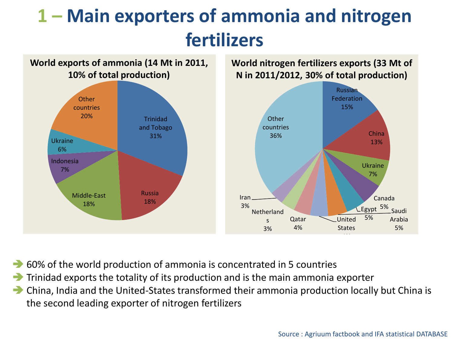### **1 – Main exporters of ammonia and nitrogen fertilizers**



**World nitrogen fertilizers exports (33 Mt of N in 2011/2012, 30% of total production)**



- 60% of the world production of ammonia is concentrated in 5 countries
- $\rightarrow$  Trinidad exports the totality of its production and is the main ammonia exporter
- China, India and the United-States transformed their ammonia production locally but China is the second leading exporter of nitrogen fertilizers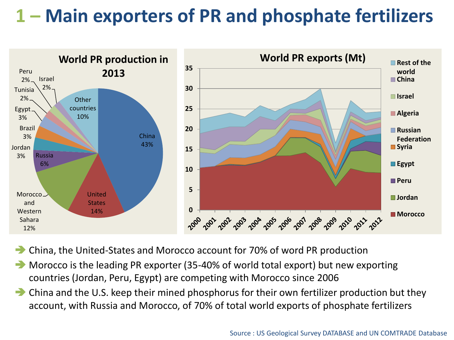### **1 – Main exporters of PR and phosphate fertilizers**



China, the United-States and Morocco account for 70% of word PR production

- Morocco is the leading PR exporter (35-40% of world total export) but new exporting countries (Jordan, Peru, Egypt) are competing with Morocco since 2006
- China and the U.S. keep their mined phosphorus for their own fertilizer production but they account, with Russia and Morocco, of 70% of total world exports of phosphate fertilizers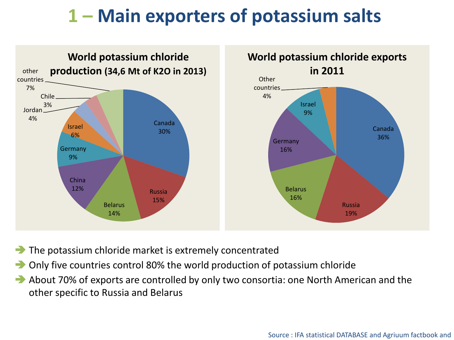### **1 – Main exporters of potassium salts**



- The potassium chloride market is extremely concentrated
- Only five countries control 80% the world production of potassium chloride
- About 70% of exports are controlled by only two consortia: one North American and the other specific to Russia and Belarus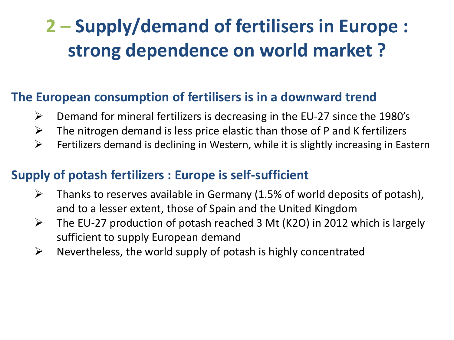### **2 – Supply/demand of fertilisers in Europe : strong dependence on world market ?**

#### **The European consumption of fertilisers is in a downward trend**

- $\triangleright$  Demand for mineral fertilizers is decreasing in the EU-27 since the 1980's
- $\triangleright$  The nitrogen demand is less price elastic than those of P and K fertilizers
- $\triangleright$  Fertilizers demand is declining in Western, while it is slightly increasing in Eastern

#### **Supply of potash fertilizers : Europe is self-sufficient**

- $\triangleright$  Thanks to reserves available in Germany (1.5% of world deposits of potash), and to a lesser extent, those of Spain and the United Kingdom
- $\triangleright$  The EU-27 production of potash reached 3 Mt (K2O) in 2012 which is largely sufficient to supply European demand
- $\triangleright$  Nevertheless, the world supply of potash is highly concentrated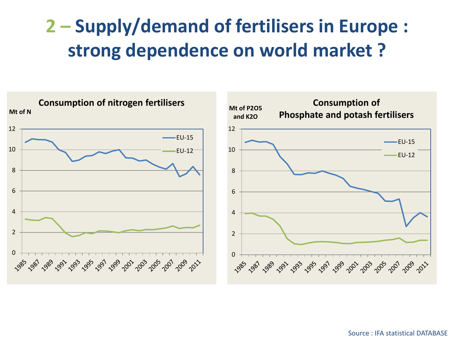### **2 – Supply/demand of fertilisers in Europe : strong dependence on world market ?**

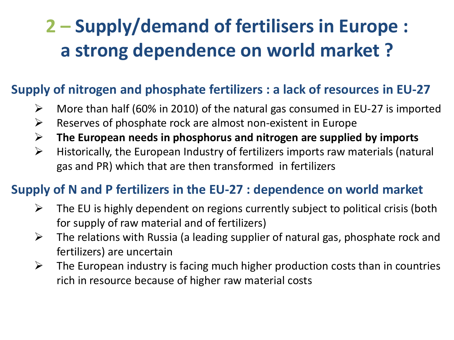### **2 – Supply/demand of fertilisers in Europe : a strong dependence on world market ?**

#### **Supply of nitrogen and phosphate fertilizers : a lack of resources in EU-27**

- $\triangleright$  More than half (60% in 2010) of the natural gas consumed in EU-27 is imported
- $\triangleright$  Reserves of phosphate rock are almost non-existent in Europe
- **The European needs in phosphorus and nitrogen are supplied by imports**
- $\triangleright$  Historically, the European Industry of fertilizers imports raw materials (natural gas and PR) which that are then transformed in fertilizers

#### **Supply of N and P fertilizers in the EU-27 : dependence on world market**

- $\triangleright$  The EU is highly dependent on regions currently subject to political crisis (both for supply of raw material and of fertilizers)
- $\triangleright$  The relations with Russia (a leading supplier of natural gas, phosphate rock and fertilizers) are uncertain
- $\triangleright$  The European industry is facing much higher production costs than in countries rich in resource because of higher raw material costs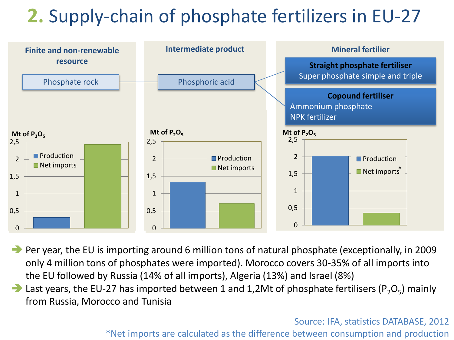### **2.** Supply-chain of phosphate fertilizers in EU-27



**Per year, the EU is importing around 6 million tons of natural phosphate (exceptionally, in 2009** only 4 million tons of phosphates were imported). Morocco covers 30-35% of all imports into the EU followed by Russia (14% of all imports), Algeria (13%) and Israel (8%)

Last years, the EU-27 has imported between 1 and 1,2Mt of phosphate fertilisers (P<sub>2</sub>O<sub>5</sub>) mainly from Russia, Morocco and Tunisia

> Source: IFA, statistics DATABASE, 2012 \*Net imports are calculated as the difference between consumption and production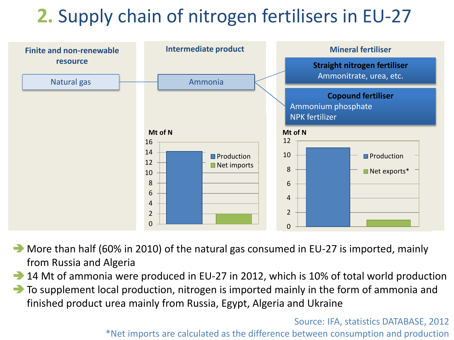### **2.** Supply chain of nitrogen fertilisers in EU-27



More than half (60% in 2010) of the natural gas consumed in EU-27 is imported, mainly from Russia and Algeria

14 Mt of ammonia were produced in EU-27 in 2012, which is 10% of total world production

 $\rightarrow$  To supplement local production, nitrogen is imported mainly in the form of ammonia and finished product urea mainly from Russia, Egypt, Algeria and Ukraine

> Source: IFA, statistics DATABASE, 2012 \*Net imports are calculated as the difference between consumption and production